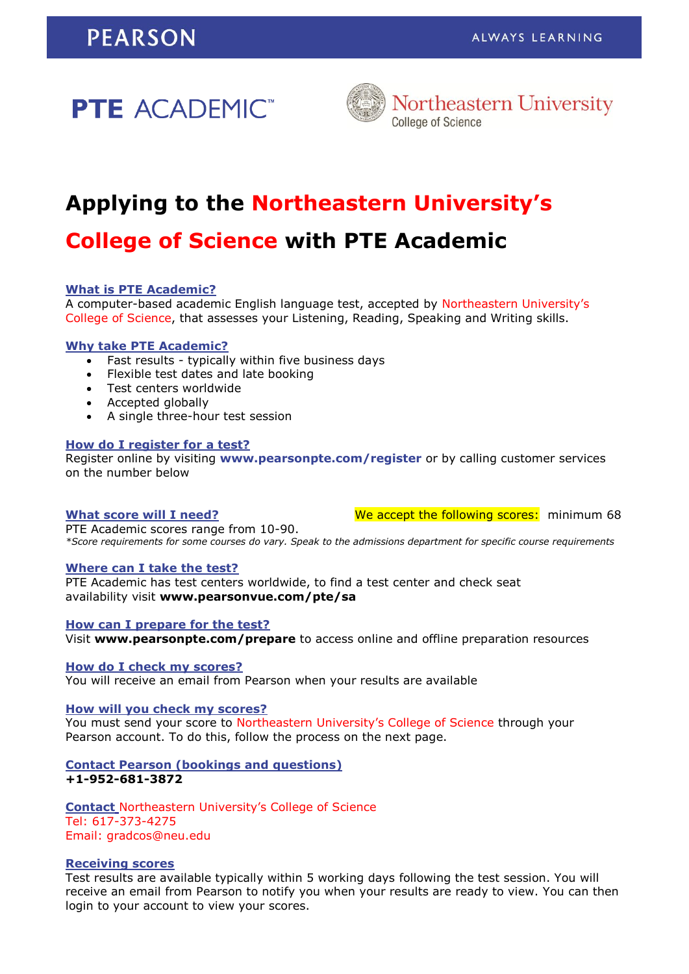# **PTE ACADEMIC**<sup>\*\*</sup>



# **Applying to the Northeastern University's**

# **College of Science with PTE Academic**

#### **What is PTE Academic?**

A computer-based academic English language test, accepted by Northeastern University's College of Science, that assesses your Listening, Reading, Speaking and Writing skills.

#### **Why take PTE Academic?**

- Fast results typically within five business days
- Flexible test dates and late booking
- Test centers worldwide
- Accepted globally
- A single three-hour test session

#### **How do I register for a test?**

Register online by visiting **[www.pearsonpte.com/register](http://www.pearsonpte.com/register)** or by calling customer services on the number below

#### **What score will I need?**

We accept the following scores: minimum 68

PTE Academic scores range from 10-90. *\*Score requirements for some courses do vary. Speak to the admissions department for specific course requirements*

#### **Where can I take the test?**

PTE Academic has test centers worldwide, to find a test center and check seat availability visit **[www.pearsonvue.com/pte/sa](http://www.pearsonvue.com/pte/sa)**

#### **How can I prepare for the test?**

Visit **www.pearsonpte.com/prepare** to access online and offline preparation resources

**How do I check my scores?**

You will receive an email from Pearson when your results are available

**How will you check my scores?**

You must send your score to Northeastern University's College of Science through your Pearson account. To do this, follow the process on the next page.

### **Contact Pearson (bookings and questions) +1-952-681-3872**

**Contact** Northeastern University's College of Science Tel: 617-373-4275 Email: gradcos@neu.edu

#### **Receiving scores**

Test results are available typically within 5 working days following the test session. You will receive an email from Pearson to notify you when your results are ready to view. You can then login to your account to view your scores.